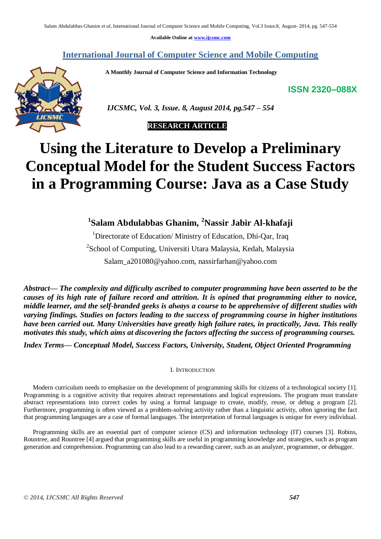**Available Online at www.ijcsmc.com**

**International Journal of Computer Science and Mobile Computing**

 **A Monthly Journal of Computer Science and Information Technology**

**ISSN 2320–088X**



 *IJCSMC, Vol. 3, Issue. 8, August 2014, pg.547 – 554*

# **RESEARCH ARTICLE**

# **Using the Literature to Develop a Preliminary Conceptual Model for the Student Success Factors in a Programming Course: Java as a Case Study**

**1 Salam Abdulabbas Ghanim, <sup>2</sup>Nassir Jabir Al-khafaji**

<sup>1</sup>Directorate of Education/ Ministry of Education, Dhi-Oar, Iraq <sup>2</sup>School of Computing, Universiti Utara Malaysia, Kedah, Malaysia Salam\_a201080@yahoo.com, nassirfarhan@yahoo.com

*Abstract— The complexity and difficulty ascribed to computer programming have been asserted to be the causes of its high rate of failure record and attrition. It is opined that programming either to novice, middle learner, and the self-branded geeks is always a course to be apprehensive of different studies with varying findings. Studies on factors leading to the success of programming course in higher institutions have been carried out. Many Universities have greatly high failure rates, in practically, Java. This really motivates this study, which aims at discovering the factors affecting the success of programming courses.*

*Index Terms— Conceptual Model, Success Factors, University, Student, Object Oriented Programming*

I. INTRODUCTION

Modern curriculum needs to emphasize on the development of programming skills for citizens of a technological society [1]. Programming is a cognitive activity that requires abstract representations and logical expressions. The program must translate abstract representations into correct codes by using a formal language to create, modify, reuse, or debug a program [2]. Furthermore, programming is often viewed as a problem-solving activity rather than a linguistic activity, often ignoring the fact that programming languages are a case of formal languages. The interpretation of formal languages is unique for every individual.

Programming skills are an essential part of computer science (CS) and information technology (IT) courses [3]. Robins, Rountree, and Rountree [4] argued that programming skills are useful in programming knowledge and strategies, such as program generation and comprehension. Programming can also lead to a rewarding career, such as an analyzer, programmer, or debugger.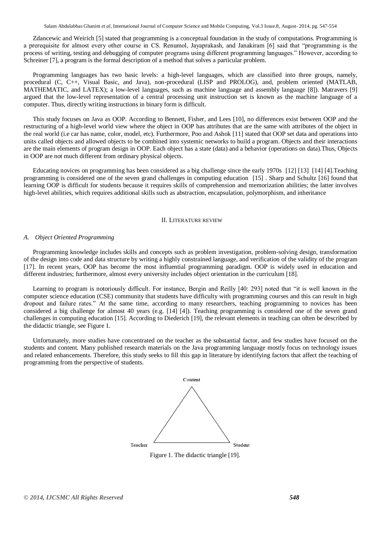Salam Abdulabbas Ghanim *et al*, International Journal of Computer Science and Mobile Computing, Vol.3 Issue.8, August- 2014, pg. 547-554

Zdancewic and Weirich [5] stated that programming is a conceptual foundation in the study of computations. Programming is a prerequisite for almost every other course in CS. Renumol, Jayaprakash, and Janakiram [6] said that "programming is the process of writing, testing and debugging of computer programs using different programming languages.‖ However, according to Schreiner [7], a program is the formal description of a method that solves a particular problem.

Programming languages has two basic levels: a high-level languages, which are classified into three groups, namely, procedural (C, C++, Visual Basic, and Java), non-procedural (LISP and PROLOG), and, problem oriented (MATLAB, MATHEMATIC, and LATEX); a low-level languages, such as machine language and assembly language [8]). Matravers [9] argued that the low-level representation of a central processing unit instruction set is known as the machine language of a computer. Thus, directly writing instructions in binary form is difficult.

This study focuses on Java as OOP. According to Bennett, Fisher, and Lees [10], no differences exist between OOP and the restructuring of a high-level world view where the object in OOP has attributes that are the same with attributes of the object in the real world (i.e car has name, color, model, etc). Furthermore, Poo and Ashok [11] stated that OOP set data and operations into units called objects and allowed objects to be combined into systemic networks to build a program. Objects and their interactions are the main elements of program design in OOP. Each object has a state (data) and a behavior (operations on data).Thus, Objects in OOP are not much different from ordinary physical objects.

Educating novices on programming has been considered as a big challenge since the early 1970s [12] [13] [14] [4].Teaching programming is considered one of the seven grand challenges in computing education [15] . Sharp and Schultz [16] found that learning OOP is difficult for students because it requires skills of comprehension and memorization abilities; the latter involves high-level abilities, which requires additional skills such as abstraction, encapsulation, polymorphism, and inheritance

#### II. LITERATURE REVIEW

#### *A. Object Oriented Programming*

Programming knowledge includes skills and concepts such as problem investigation, problem-solving design, transformation of the design into code and data structure by writing a highly constrained language, and verification of the validity of the program [17]. In recent years, OOP has become the most influential programming paradigm. OOP is widely used in education and different industries; furthermore, almost every university includes object orientation in the curriculum [18].

Learning to program is notoriously difficult. For instance, Bergin and Reilly [40: 293] noted that "it is well known in the computer science education (CSE) community that students have difficulty with programming courses and this can result in high dropout and failure rates." At the same time, according to many researchers, teaching programming to novices has been considered a big challenge for almost 40 years (e.g. [14] [4]). Teaching programming is considered one of the seven grand challenges in computing education [15]. According to Diederich [19], the relevant elements in teaching can often be described by the didactic triangle, see Figure 1.

Unfortunately, more studies have concentrated on the teacher as the substantial factor, and few studies have focused on the students and content. Many published research materials on the Java programming language mostly focus on technology issues and related enhancements. Therefore, this study seeks to fill this gap in literature by identifying factors that affect the teaching of programming from the perspective of students.



Figure 1. The didactic triangle [19].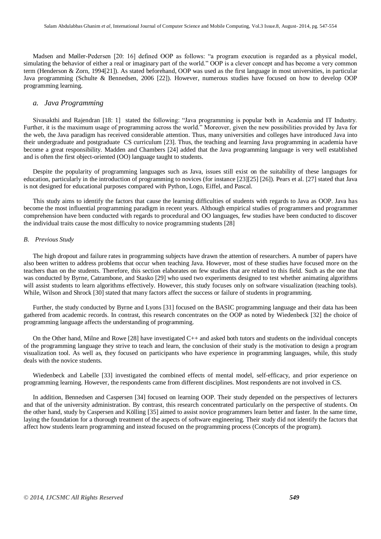Madsen and Møller-Pedersen [20: 16] defined OOP as follows: "a program execution is regarded as a physical model, simulating the behavior of either a real or imaginary part of the world." OOP is a clever concept and has become a very common term (Henderson & Zorn, 1994[21]). As stated beforehand, OOP was used as the first language in most universities, in particular Java programming (Schulte & Bennedsen, 2006 [22]). However, numerous studies have focused on how to develop OOP programming learning.

# *a. Java Programming*

Sivasakthi and Rajendran [18: 1] stated the following: "Java programming is popular both in Academia and IT Industry. Further, it is the maximum usage of programming across the world." Moreover, given the new possibilities provided by Java for the web, the Java paradigm has received considerable attention. Thus, many universities and colleges have introduced Java into their undergraduate and postgraduate CS curriculum [23]. Thus, the teaching and learning Java programming in academia have become a great responsibility. Madden and Chambers [24] added that the Java programming language is very well established and is often the first object-oriented (OO) language taught to students.

Despite the popularity of programming languages such as Java, issues still exist on the suitability of these languages for education, particularly in the introduction of programming to novices (for instance [23][25] [26]). Pears et al. [27] stated that Java is not designed for educational purposes compared with Python, Logo, Eiffel, and Pascal.

This study aims to identify the factors that cause the learning difficulties of students with regards to Java as OOP. Java has become the most influential programming paradigm in recent years. Although empirical studies of programmers and programmer comprehension have been conducted with regards to procedural and OO languages, few studies have been conducted to discover the individual traits cause the most difficulty to novice programming students [28]

#### *B. Previous Study*

The high dropout and failure rates in programming subjects have drawn the attention of researchers. A number of papers have also been written to address problems that occur when teaching Java. However, most of these studies have focused more on the teachers than on the students. Therefore, this section elaborates on few studies that are related to this field. Such as the one that was conducted by Byrne, Catrambone, and Stasko [29] who used two experiments designed to test whether animating algorithms will assist students to learn algorithms effectively. However, this study focuses only on software visualization (teaching tools). While, Wilson and Shrock [30] stated that many factors affect the success or failure of students in programming.

Further, the study conducted by Byrne and Lyons [31] focused on the BASIC programming language and their data has been gathered from academic records. In contrast, this research concentrates on the OOP as noted by Wiedenbeck [32] the choice of programming language affects the understanding of programming.

On the Other hand, Milne and Rowe [28] have investigated C++ and asked both tutors and students on the individual concepts of the programming language they strive to teach and learn, the conclusion of their study is the motivation to design a program visualization tool. As well as, they focused on participants who have experience in programming languages, while, this study deals with the novice students.

Wiedenbeck and Labelle [33] investigated the combined effects of mental model, self-efficacy, and prior experience on programming learning. However, the respondents came from different disciplines. Most respondents are not involved in CS.

In addition, Bennedsen and Caspersen [34] focused on learning OOP. Their study depended on the perspectives of lecturers and that of the university administration. By contrast, this research concentrated particularly on the perspective of students. On the other hand, study by Caspersen and Kölling [35] aimed to assist novice programmers learn better and faster. In the same time, laying the foundation for a thorough treatment of the aspects of software engineering. Their study did not identify the factors that affect how students learn programming and instead focused on the programming process (Concepts of the program).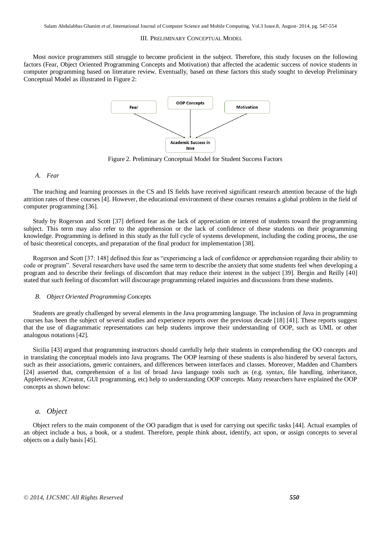#### III. PRELIMINARY CONCEPTUAL MODEL

Most novice programmers still struggle to become proficient in the subject. Therefore, this study focuses on the following factors (Fear, Object Oriented Programming Concepts and Motivation) that affected the academic success of novice students in computer programming based on literature review. Eventually, based on these factors this study sought to develop Preliminary Conceptual Model as illustrated in Figure 2:



Figure 2. Preliminary Conceptual Model for Student Success Factors

#### *A. Fear*

The teaching and learning processes in the CS and IS fields have received significant research attention because of the high attrition rates of these courses [4]. However, the educational environment of these courses remains a global problem in the field of computer programming [36].

Study by Rogerson and Scott [37] defined fear as the lack of appreciation or interest of students toward the programming subject. This term may also refer to the apprehension or the lack of confidence of these students on their programming knowledge. Programming is defined in this study as the full cycle of systems development, including the coding process, the use of basic theoretical concepts, and preparation of the final product for implementation [38].

Rogerson and Scott [37: 148] defined this fear as "experiencing a lack of confidence or apprehension regarding their ability to code or program‖. Several researchers have used the same term to describe the anxiety that some students feel when developing a program and to describe their feelings of discomfort that may reduce their interest in the subject [39]. Bergin and Reilly [40] stated that such feeling of discomfort will discourage programming related inquiries and discussions from these students.

#### *B. Object Oriented Programming Concepts*

Students are greatly challenged by several elements in the Java programming language. The inclusion of Java in programming courses has been the subject of several studies and experience reports over the previous decade [18] [41]. These reports suggest that the use of diagrammatic representations can help students improve their understanding of OOP, such as UML or other analogous notations [42].

Sicilia [43] argued that programming instructors should carefully help their students in comprehending the OO concepts and in translating the conceptual models into Java programs. The OOP learning of these students is also hindered by several factors, such as their associations, generic containers, and differences between interfaces and classes. Moreover, Madden and Chambers [24] asserted that, comprehension of a list of broad Java language tools such as (e.g. syntax, file handling, inheritance, Appletviewer, JCreator, GUI programming, etc) help to understanding OOP concepts. Many researchers have explained the OOP concepts as shown below:

## *a. Object*

Object refers to the main component of the OO paradigm that is used for carrying out specific tasks [44]. Actual examples of an object include a bus, a book, or a student. Therefore, people think about, identify, act upon, or assign concepts to several objects on a daily basis [45].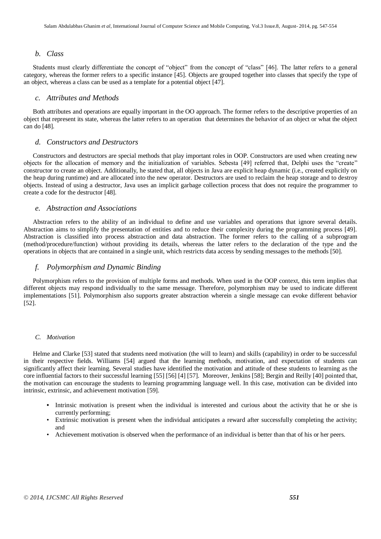# *b. Class*

Students must clearly differentiate the concept of "object" from the concept of "class" [46]. The latter refers to a general category, whereas the former refers to a specific instance [45]. Objects are grouped together into classes that specify the type of an object, whereas a class can be used as a template for a potential object [47].

# *c. Attributes and Methods*

Both attributes and operations are equally important in the OO approach. The former refers to the descriptive properties of an object that represent its state, whereas the latter refers to an operation that determines the behavior of an object or what the object can do [48].

#### *d. Constructors and Destructors*

Constructors and destructors are special methods that play important roles in OOP. Constructors are used when creating new objects for the allocation of memory and the initialization of variables. Sebesta [49] referred that, Delphi uses the "create" constructor to create an object. Additionally, he stated that, all objects in Java are explicit heap dynamic (i.e., created explicitly on the heap during runtime) and are allocated into the new operator. Destructors are used to reclaim the heap storage and to destroy objects. Instead of using a destructor, Java uses an implicit garbage collection process that does not require the programmer to create a code for the destructor [48].

## *e. Abstraction and Associations*

Abstraction refers to the ability of an individual to define and use variables and operations that ignore several details. Abstraction aims to simplify the presentation of entities and to reduce their complexity during the programming process [49]. Abstraction is classified into process abstraction and data abstraction. The former refers to the calling of a subprogram (method/procedure/function) without providing its details, whereas the latter refers to the declaration of the type and the operations in objects that are contained in a single unit, which restricts data access by sending messages to the methods [50].

## *f. Polymorphism and Dynamic Binding*

Polymorphism refers to the provision of multiple forms and methods. When used in the OOP context, this term implies that different objects may respond individually to the same message. Therefore, polymorphism may be used to indicate different implementations [51]. Polymorphism also supports greater abstraction wherein a single message can evoke different behavior [52].

## *C. Motivation*

Helme and Clarke [53] stated that students need motivation (the will to learn) and skills (capability) in order to be successful in their respective fields. Williams [54] argued that the learning methods, motivation, and expectation of students can significantly affect their learning. Several studies have identified the motivation and attitude of these students to learning as the core influential factors to their successful learning [55] [56] [4] [57]. Moreover, Jenkins [58]; Bergin and Reilly [40] pointed that, the motivation can encourage the students to learning programming language well. In this case, motivation can be divided into intrinsic, extrinsic, and achievement motivation [59].

- **•** Intrinsic motivation is present when the individual is interested and curious about the activity that he or she is currently performing;
- Extrinsic motivation is present when the individual anticipates a reward after successfully completing the activity; and
- Achievement motivation is observed when the performance of an individual is better than that of his or her peers.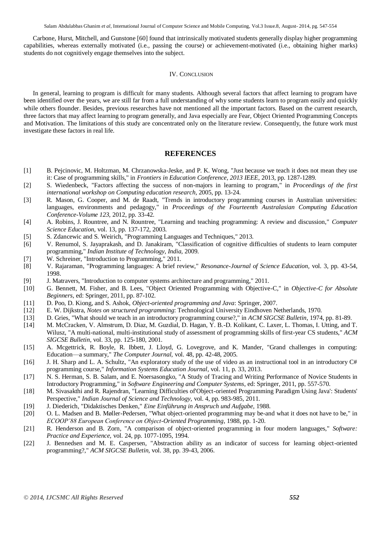Salam Abdulabbas Ghanim *et al*, International Journal of Computer Science and Mobile Computing, Vol.3 Issue.8, August- 2014, pg. 547-554

Carbone, Hurst, Mitchell, and Gunstone [60] found that intrinsically motivated students generally display higher programming capabilities, whereas externally motivated (i.e., passing the course) or achievement-motivated (i.e., obtaining higher marks) students do not cognitively engage themselves into the subject.

# IV. CONCLUSION

In general, learning to program is difficult for many students. Although several factors that affect learning to program have been identified over the years, we are still far from a full understanding of why some students learn to program easily and quickly while others flounder. Besides, previous researches have not mentioned all the important factors. Based on the current research, three factors that may affect learning to program generally, and Java especially are Fear, Object Oriented Programming Concepts and Motivation. The limitations of this study are concentrated only on the literature review. Consequently, the future work must investigate these factors in real life.

# **REFERENCES**

- [1] B. Pejcinovic, M. Holtzman, M. Chrzanowska-Jeske, and P. K. Wong, "Just because we teach it does not mean they use it: Case of programming skills," in *Frontiers in Education Conference, 2013 IEEE*, 2013, pp. 1287-1289.
- [2] S. Wiedenbeck, "Factors affecting the success of non-majors in learning to program," in *Proceedings of the first international workshop on Computing education research*, 2005, pp. 13-24.
- [3] R. Mason, G. Cooper, and M. de Raadt, "Trends in introductory programming courses in Australian universities: languages, environments and pedagogy," in *Proceedings of the Fourteenth Australasian Computing Education Conference-Volume 123*, 2012, pp. 33-42.
- [4] A. Robins, J. Rountree, and N. Rountree, "Learning and teaching programming: A review and discussion," *Computer Science Education,* vol. 13, pp. 137-172, 2003.
- [5] S. Zdancewic and S. Weirich, "Programming Languages and Techniques," 2013.
- [6] V. Renumol, S. Jayaprakash, and D. Janakiram, "Classification of cognitive difficulties of students to learn computer programming," *Indian Institute of Technology, India,* 2009.
- [7] W. Schreiner, "Introduction to Programming," 2011.
- [8] V. Rajaraman, "Programming languages: A brief review," *Resonance-Journal of Science Education,* vol. 3, pp. 43-54, 1998.
- [9] J. Matravers, "Introduction to computer systems architecture and programming," 2011.
- [10] G. Bennett, M. Fisher, and B. Lees, "Object Oriented Programming with Objective-C," in *Objective-C for Absolute Beginners*, ed: Springer, 2011, pp. 87-102.
- [11] D. Poo, D. Kiong, and S. Ashok, *Object-oriented programming and Java*: Springer, 2007.
- [12] E. W. Dijkstra, *Notes on structured programming*: Technological University Eindhoven Netherlands, 1970.
- [13] D. Gries, "What should we teach in an introductory programming course?," in *ACM SIGCSE Bulletin*, 1974, pp. 81-89.
- [14] M. McCracken, V. Almstrum, D. Diaz, M. Guzdial, D. Hagan, Y. B.-D. Kolikant, C. Laxer, L. Thomas, I. Utting, and T. Wilusz, "A multi-national, multi-institutional study of assessment of programming skills of first-year CS students," *ACM SIGCSE Bulletin,* vol. 33, pp. 125-180, 2001.
- [15] A. Mcgettrick, R. Boyle, R. Ibbett, J. Lloyd, G. Lovegrove, and K. Mander, "Grand challenges in computing: Education—a summary," *The Computer Journal,* vol. 48, pp. 42-48, 2005.
- [16] J. H. Sharp and L. A. Schultz, "An exploratory study of the use of video as an instructional tool in an introductory C# programming course," *Information Systems Education Journal,* vol. 11, p. 33, 2013.
- [17] N. S. Herman, S. B. Salam, and E. Noersasongko, "A Study of Tracing and Writing Performance of Novice Students in Introductory Programming," in *Software Engineering and Computer Systems*, ed: Springer, 2011, pp. 557-570.
- [18] M. Sivasakthi and R. Rajendran, "Learning Difficulties of Object-oriented Programming Paradigm Using Java': Students' Perspective," *Indian Journal of Science and Technology,* vol. 4, pp. 983-985, 2011.
- [19] J. Diederich, "Didaktisches Denken," *Eine Einführung in Anspruch und Aufgabe,* 1988.
- [20] O. L. Madsen and B. Møller-Pedersen, "What object-oriented programming may be-and what it does not have to be," in *ECOOP'88 European Conference on Object-Oriented Programming*, 1988, pp. 1-20.
- [21] R. Henderson and B. Zorn, "A comparison of object-oriented programming in four modern languages," Software: *Practice and Experience,* vol. 24, pp. 1077-1095, 1994.
- [22] J. Bennedsen and M. E. Caspersen, "Abstraction ability as an indicator of success for learning object-oriented programming?," *ACM SIGCSE Bulletin,* vol. 38, pp. 39-43, 2006.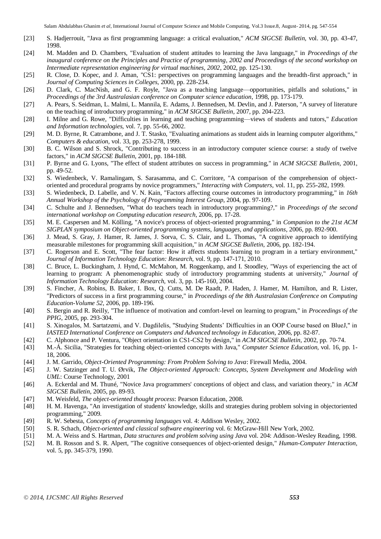Salam Abdulabbas Ghanim *et al*, International Journal of Computer Science and Mobile Computing, Vol.3 Issue.8, August- 2014, pg. 547-554

- [23] S. Hadjerrouit, "Java as first programming language: a critical evaluation," *ACM SIGCSE Bulletin,* vol. 30, pp. 43-47, 1998.
- [24] M. Madden and D. Chambers, "Evaluation of student attitudes to learning the Java language," in *Proceedings of the inaugural conference on the Principles and Practice of programming, 2002 and Proceedings of the second workshop on Intermediate representation engineering for virtual machines, 2002*, 2002, pp. 125-130.
- [25] R. Close, D. Kopec, and J. Aman, "CS1: perspectives on programming languages and the breadth-first approach," in *Journal of Computing Sciences in Colleges*, 2000, pp. 228-234.
- [26] D. Clark, C. MacNish, and G. F. Royle, "Java as a teaching language—opportunities, pitfalls and solutions," in *Proceedings of the 3rd Australasian conference on Computer science education*, 1998, pp. 173-179.
- [27] A. Pears, S. Seidman, L. Malmi, L. Mannila, E. Adams, J. Bennedsen, M. Devlin, and J. Paterson, "A survey of literature on the teaching of introductory programming," in *ACM SIGCSE Bulletin*, 2007, pp. 204-223.
- [28] I. Milne and G. Rowe, "Difficulties in learning and teaching programming—views of students and tutors," *Education and Information technologies,* vol. 7, pp. 55-66, 2002.
- [29] M. D. Byrne, R. Catrambone, and J. T. Stasko, "Evaluating animations as student aids in learning computer algorithms," *Computers & education,* vol. 33, pp. 253-278, 1999.
- [30] B. C. Wilson and S. Shrock, "Contributing to success in an introductory computer science course: a study of twelve factors," in *ACM SIGCSE Bulletin*, 2001, pp. 184-188.
- [31] P. Byrne and G. Lyons, "The effect of student attributes on success in programming," in *ACM SIGCSE Bulletin*, 2001, pp. 49-52.
- [32] S. Wiedenbeck, V. Ramalingam, S. Sarasamma, and C. Corritore, "A comparison of the comprehension of objectoriented and procedural programs by novice programmers," *Interacting with Computers,* vol. 11, pp. 255-282, 1999.
- [33] S. Wiedenbeck, D. Labelle, and V. N. Kain, "Factors affecting course outcomes in introductory programming," in *16th Annual Workshop of the Psychology of Programming Interest Group*, 2004, pp. 97-109.
- [34] C. Schulte and J. Bennedsen, "What do teachers teach in introductory programming?," in *Proceedings of the second international workshop on Computing education research*, 2006, pp. 17-28.
- [35] M. E. Caspersen and M. Kölling, "A novice's process of object-oriented programming," in *Companion to the 21st ACM SIGPLAN symposium on Object-oriented programming systems, languages, and applications*, 2006, pp. 892-900.
- [36] J. Mead, S. Gray, J. Hamer, R. James, J. Sorva, C. S. Clair, and L. Thomas, "A cognitive approach to identifying measurable milestones for programming skill acquisition," in *ACM SIGCSE Bulletin*, 2006, pp. 182-194.
- [37] C. Rogerson and E. Scott, "The fear factor: How it affects students learning to program in a tertiary environment," *Journal of Information Technology Education: Research,* vol. 9, pp. 147-171, 2010.
- [38] C. Bruce, L. Buckingham, J. Hynd, C. McMahon, M. Roggenkamp, and I. Stoodley, "Ways of experiencing the act of learning to program: A phenomenographic study of introductory programming students at university," *Journal of Information Technology Education: Research,* vol. 3, pp. 145-160, 2004.
- [39] S. Fincher, A. Robins, B. Baker, I. Box, Q. Cutts, M. De Raadt, P. Haden, J. Hamer, M. Hamilton, and R. Lister, "Predictors of success in a first programming course," in *Proceedings of the 8th Australasian Conference on Computing Education-Volume 52*, 2006, pp. 189-196.
- [40] S. Bergin and R. Reilly, "The influence of motivation and comfort-level on learning to program," in *Proceedings of the PPIG*, 2005, pp. 293-304.
- [41] S. Xinogalos, M. Sartatzemi, and V. Dagdilelis, "Studying Students' Difficulties in an OOP Course based on BlueJ," in *IASTED International Conference on Computers and Advanced technology in Education*, 2006, pp. 82-87.
- [42] C. Alphonce and P. Ventura, "Object orientation in CS1-CS2 by design," in *ACM SIGCSE Bulletin*, 2002, pp. 70-74.
- [43] M.-Á. Sicilia, "Strategies for teaching object-oriented concepts with Java," *Computer Science Education,* vol. 16, pp. 1- 18, 2006.
- [44] J. M. Garrido, *Object-Oriented Programming: From Problem Solving to Java*: Firewall Media, 2004.
- [45] J. W. Satzinger and T. U. Ørvik, *The Object-oriented Approach: Concepts, System Development and Modeling with UML*: Course Technology, 2001
- [46] A. Eckerdal and M. Thuné, "Novice Java programmers' conceptions of object and class, and variation theory," in *ACM SIGCSE Bulletin*, 2005, pp. 89-93.
- [47] M. Weisfeld, *The object-oriented thought process*: Pearson Education, 2008.
- [48] H. M. Havenga, "An investigation of students' knowledge, skills and strategies during problem solving in objectoriented programming," 2009.
- [49] R. W. Sebesta, *Concepts of programming languages* vol. 4: Addison Wesley, 2002.
- [50] S. R. Schach, *Object-oriented and classical software engineering* vol. 6: McGraw-Hill New York, 2002.
- [51] M. A. Weiss and S. Hartman, *Data structures and problem solving using Java* vol. 204: Addison-Wesley Reading, 1998.
- [52] M. B. Rosson and S. R. Alpert, "The cognitive consequences of object-oriented design," *Human-Computer Interaction,*  vol. 5, pp. 345-379, 1990.